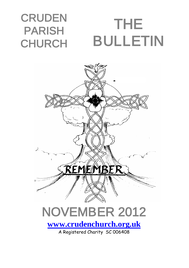### **CRUDEN** PARISH **CHURCH** THE BULLETIN



A Registered Charity SC 006408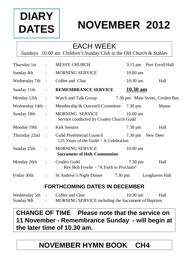

# **NOVEMBER 2012**

## EACH WEEK

*Sundays* 10.00 am Children's Sunday Club in the Old Church & Stables

| Thursday 1st :   |                             | <b>MESSY CHURCH</b>                                                  | 3:15 pm Port Erroll Hall        |
|------------------|-----------------------------|----------------------------------------------------------------------|---------------------------------|
| Sunday 4th :     |                             | <b>MORNING SERVICE</b>                                               | $10.00$ am                      |
| Wednesday 7th :  |                             | Coffee and Chat                                                      | $10:30$ am<br>Hall              |
| Sunday 11th:     |                             | <b>REMEMBRANCE SERVICE</b>                                           | <u>10.30 am</u>                 |
| Monday $12th$ :  |                             | Watch and Talk Group                                                 | 7.30 pm Main Street, Cruden Bay |
| Wednesday 14th : |                             | Membership & Outreach Committee 7.30 pm                              | Manse                           |
| Sunday 18th      | $\mathcal{L}^{\text{max}}$  | <b>MORNING SERVICE</b><br>Service conducted by Cruden Church Guild   | $10.00 \text{ am}$              |
| Monday 19th :    |                             | <b>Kirk Session</b>                                                  | $7.30 \text{ pm}$<br>Hall       |
| Thursday 22nd :  |                             | Guild Presbyterial Council<br>125 Years of the Guild - A Celebration | 7.30 pm New Deer                |
| Sunday 25th      | $\ddot{\phantom{a}}$        | <b>MORNING SERVICE</b><br><b>Sacrament of Holy Communion</b>         | $10.00$ am                      |
| Monday 26th      | $\mathcal{I}^{\mathcal{I}}$ | Cruden Guild<br>Rev Bob Fowlie – "A Faith to Proclaim"               | $7.30 \text{ pm}$<br>Hall       |
| Friday 30th      | $\mathbb{C}$                | St Andrew's Night Dinner<br>$7.30 \text{ pm}$                        | Longhaven Hall                  |

#### **FORTHCOMING DATES IN DECEMBER**

| Wednesday 5th : | Coffee and Chat                                    | $10:30 \text{ am}$ | Hall |
|-----------------|----------------------------------------------------|--------------------|------|
| Sunday 9th      | MORNING SERVICE including the Sacrament of Baptism |                    |      |

### **CHANGE OF TIME Please note that the service on 11 November - Remembrance Sunday - will begin at the later time of 10.30 am.**

## **NOVEMBER HYMN BOOK CH4**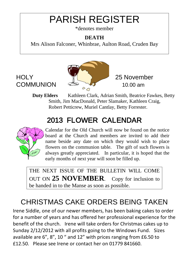# PARISH REGISTER

\*denotes member

#### **DEATH**

Mrs Alison Falconer, Whinbrae, Aulton Road, Cruden Bay



**Duty Elders** Kathleen Clark, Adrian Smith, Beatrice Fawkes, Betty Smith, Jim MacDonald, Peter Slamaker, Kathleen Craig, Robert Petticrew, Muriel Cantlay, Betty Forrester.

# 2013 FLOWER CALENDAR



Calendar for the Old Church will now be found on the notice board at the Church and members are invited to add their name beside any date on which they would wish to place flowers on the communion table. The gift of such flowers is always greatly appreciated. In particular, it is hoped that the early months of next year will soon be filled up.

THE NEXT ISSUE OF THE BULLETIN WILL COME OUT ON **25 NOVEMBER**. Copy for inclusion to be handed in to the Manse as soon as possible.

# CHRISTMAS CAKE ORDERS BEING TAKEN

Irene Siddle, one of our newer members, has been baking cakes to order for a number of years and has offered her professional experience for the benefit of the church. Irene will take orders for Christmas cakes up to Sunday 2/12/2012 with all profits going to the Windows Fund. Sizes available are 6", 8", 10 " and 12" with prices ranging from £6.50 to £12.50. Please see Irene or contact her on 01779 841660.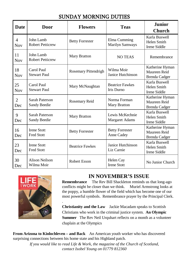#### SUNDAY MORNING DUTIES

| <b>Date</b>                  | Door                                    | <b>Flowers</b>         | <b>Teas</b>                            | <b>Junior</b><br><b>Church</b>                          |
|------------------------------|-----------------------------------------|------------------------|----------------------------------------|---------------------------------------------------------|
| $\overline{4}$<br><b>Nov</b> | John Lamb<br><b>Robert Petticrew</b>    | <b>Betty Forrester</b> | Elma Cumming<br><b>Marilyn Samways</b> | Karla Buswell<br>Helen Smith<br><b>Irene Siddle</b>     |
| 11<br><b>Nov</b>             | John Lamb<br><b>Robert Petticrew</b>    | <b>Mary Bratton</b>    | <b>NO TEAS</b>                         | Remembrance                                             |
| 18<br>Nov                    | Carol Paul<br><b>Stewart Paul</b>       | Rosemary Pittendrigh   | Wilma Moir<br>Janice Hutchinson        | Katherine Hyman<br>Maureen Reid<br><b>Brenda Cadger</b> |
| 25<br><b>Nov</b>             | Carol Paul<br><b>Stewart Paul</b>       | Mary McNaughtan        | <b>Beatrice Fawkes</b><br>Iris Durno   | Karla Buswell<br>Helen Smith<br>Irene Siddle            |
| $\overline{2}$<br>Dec        | Sarah Paterson<br>Sandy Beedie          | Rosemary Reid          | Norma Forman<br><b>Mary Bratton</b>    | Katherine Hyman<br>Maureen Reid<br><b>Brenda Cadger</b> |
| 9<br>Dec                     | Sarah Paterson<br>Sandy Beedie          | <b>Mary Bratton</b>    | Lewis McKechnie<br>Margaret Adams      | Karla Buswell<br>Helen Smith<br><b>Irene Siddle</b>     |
| 16<br>Dec                    | <b>Irene Stott</b><br><b>Fred Stott</b> | <b>Betty Forrester</b> | <b>Betty Forrester</b><br>Anne Cadey   | Katherine Hyman<br>Maureen Reid<br><b>Brenda Cadger</b> |
| 23<br>Dec                    | <b>Irene Stott</b><br><b>Fred Stott</b> | <b>Beatrice Fawkes</b> | Janice Hutchinson<br>Liz Carnie        | Karla Buswell<br>Helen Smith<br>Irene Siddle            |
| 30<br>Dec                    | <b>Alison Neilson</b><br>Wilma Moir     | <b>Robert Esson</b>    | Helen Cay<br><b>Irene Stott</b>        | No Junior Church                                        |



.

#### **IN NOVEMBER'S ISSUE**

**Remembrance** The Rev Bill Shackleton reminds us that long-ago conflicts might be closer than we think. Muriel Armstrong looks at the poppy, a humble flower of the field which has become one of our most powerful symbols. Remembrance prayer by the Principal Clerk.

**Christianity and the Law** Jackie Macadam speaks to Scottish Christians who work in the criminal justice system. **An Olympic Summer** The Rev Neil Urquhart reflects on a month as a volunteer chaplain at the Olympics

**From Arizona to Kinlochleven – and Back** An American youth worker who has discovered surprising connections between his home state and his Highland patch.

*If you would like to read Life & Work, the magazine of the Church of Scotland, contact Isobel Young on 01779 812360*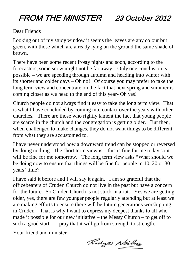# FROM THE MINISTER 23 October 2012

#### Dear Friends

Looking out of my study window it seems the leaves are any colour but green, with those which are already lying on the ground the same shade of brown.

There have been some recent frosty nights and soon, according to the forecasters, some snow might not be far away. Only one conclusion is possible – we are speeding through autumn and heading into winter with its shorter and colder days – Oh no! Of course you may prefer to take the long term view and concentrate on the fact that next spring and summer is coming closer as we head to the end of this year- Oh yes!

Church people do not always find it easy to take the long term view. That is what I have concluded by coming into contact over the years with other churches. There are those who rightly lament the fact that young people are scarce in the church and the congregation is getting older. But then, when challenged to make changes, they do not want things to be different from what they are accustomed to.

I have never understood how a downward trend can be stopped or reversed by doing nothing. The short term view is – this is fine for me today so it will be fine for me tomorrow. The long term view asks "What should we be doing now to ensure that things will be fine for people in 10, 20 or 30 years' time?

I have said it before and I will say it again. I am so grateful that the officebearers of Cruden Church do not live in the past but have a concern for the future. So Cruden Church is not stuck in a rut. Yes we are getting older, yes, there are few younger people regularly attending but at least we are making efforts to ensure there will be future generations worshipping in Cruden. That is why I want to express my deepest thanks to all who made it possible for our new initiative – the Messy Church – to get off to such a good start. I pray that it will go from strength to strength.

Your friend and minister

Rodges Neilso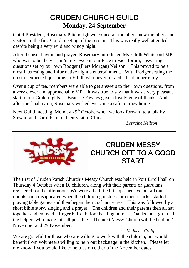### CRUDEN CHURCH GUILD **Monday, 24 September**

Guild President, Rosemary Pittendrigh welcomed all members, new members and visitors to the first Guild meeting of the session This was really well attended, despite being a very wild and windy night.

After the usual hymn and prayer, Rosemary introduced Ms Eilidh Whiteford MP, who was to be the victim /interviewee in our Face to Face forum, answering questions set by our own Rodger (Piers Morgan) Neilson. This proved to be a most interesting and informative night's entertainment. With Rodger setting the most unexpected questions to Eilidh who never missed a beat in her reply.

Over a cup of tea, members were able to get answers to their own questions, from a very clever and approachable MP. It was true to say that it was a very pleasant start to our Guild nights. Beatrice Fawkes gave a lovely vote of thanks. And after the final hymn, Rosemary wished everyone a safe journey home.

Next Guild meeting. Monday  $29<sup>th</sup>$  Octoberwhen we look forward to a talk by Stewart and Carol Paul on their visit to China.

*Lorraine Neilson* 



### CRUDEN MESSY [C](http://www.bing.com/images/search?q=messy+church+logo&view=detail&id=C7DC2A2B5AF189E46351EDCF982BA33B6FC73003)HURCH OFF TO A GOOD **START**

The first of Cruden Parish Church's Messy Church was held in Port Erroll hall on Thursday 4 October when 16 children, along with their parents or guardians, registered for the afternoon. We were all a little bit apprehensive but all our doubts soon disappeared when the children got stuck into their snacks, started playing table games and then began their craft activities. This was followed by a short bible story, singing and a prayer. The children and their parents then all sat together and enjoyed a finger buffet before heading home. Thanks must go to all the helpers who made this all possible. The next Messy Church will be held on 1 November and 29 November.

#### *Kathleen Craig*

We are grateful for those who are willing to work with the children, but would benefit from volunteers willing to help out backstage in the kitchen. Please let me know if you would like to help us on either of the November dates.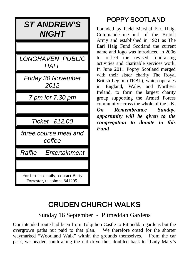| <i><b>ST ANDREW'S</b></i><br><i><b>NIGHT</b></i>                   |
|--------------------------------------------------------------------|
|                                                                    |
| <i>LONGHAVEN PUBLIC</i><br><i>HALL</i>                             |
| Friday 30 November<br>2012                                         |
| 7 pm for 7.30 pm                                                   |
|                                                                    |
| Ticket £12.00                                                      |
| three course meal and<br>coffee                                    |
| Raffle<br>Entertainment                                            |
|                                                                    |
| For further details, contact Betty<br>Forrester, telephone 841205. |

## POPPY SCOTLAND

Founded by Field Marshal Earl Haig, Commander-in-Chief of the British Army and established in 1921 as The Earl Haig Fund Scotland the current name and logo was introduced in 2006 to reflect the revised fundraising activities and charitable services work. In June 2011 Poppy Scotland merged with their sister charity The Royal British Legion (TRBL), which operates in England, Wales and Northern Ireland, to form the largest charity group supporting the Armed Forces community across the whole of the UK. *On Remembrance Sunday,* 

*opportunity will be given to the congregation to donate to this Fund*

# CRUDEN CHURCH WALKS

Sunday 16 September - Pitmeddan Gardens

Our intended route had been from Tolquhon Castle to Pitmeddan gardens but the overgrown paths put paid to that plan. We therefore opted for the shorter waymarked "Woodland Walk" within the grounds themselves. From the car park, we headed south along the old drive then doubled back to "Lady Mary's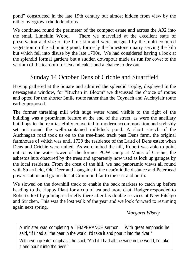pond" constructed in the late 19th century but almost hidden from view by the rather overgrown rhododendrons.

We continued round the perimeter of the compact estate and across the A92 into the small Limekiln Wood. There we marvelled at the excellent state of preservation and size of the lime kiln and were intrigued by the multi-coloured vegetation on the adjoining pond, formerly the limestone quarry serving the kiln but which fell into disuse by the late 1790s. We had considered having a look at the splendid formal gardens but a sudden downpour made us run for cover to the warmth of the tearoom for tea and cakes and a chance to dry out.

### Sunday 14 October Dens of Crichie and Stuartfield

Having gathered at the Square and admired the splendid trophy, displayed in the newsagent's window, for "Buchan in Bloom" we discussed the choice of routes and opted for the shorter 3mile route rather than the Coynach and Auchtylair route earlier proposed.

The former threshing mill with huge water wheel visible to the right of the building was a prominent feature at the end of the street, as were the ancillary buildings to the rear tastefully converted to modern accommodation and stylishly set out round the well-maintained mill/duck pond. A short stretch of the Auchnagatt road took us on to the tree-lined track past Dens farm, the original farmhouse of which was until 1739 the residence of the Laird of Dens estate when Dens and Crichie were united. As we climbed the hill, Robert was able to point out to us the water tower of the former POW camp at Mains of Crichie, the asbestos huts obscured by the trees and apparently now used as lock up garages by the local residents. From the crest of the hill, we had panoramic views all round with Stuartfield, Old Deer and Longside in the near/middle distance and Peterhead power station and grain silos at Crimmond far to the east and north.

We slowed on the downhill track to enable the back markers to catch up before heading to the Happy Plant for a cup of tea and more chat. Rodger responded to Robert's text by joining us briefly there after his double services at New Pitsligo and Strichen. This was the lost walk of the year and we look forward to resuming again next spring.

*Margaret Wisely*

A minister was completing a TEMPERANCE sermon. With great emphasis he said, "If I had all the beer in the world, I'd take it and pour it into the river."

With even greater emphasis he said, "And if I had all the wine in the world, I'd take it and pour it into the river."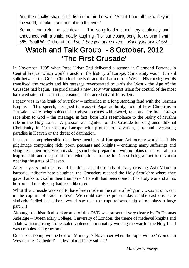And then finally, shaking his fist in the air, he said, "And if I had all the whisky in the world, I'd take it and pour it into the river."

Sermon complete, he sat down. The song leader stood very cautiously and announced with a smile, nearly laughing, "For our closing song, let us sing Hymn 365, "Shall We Gather at the River." *See you at the river! Bring your own glass!*

## Watch and Talk Group - 8 October, 2012 'The First Crusade'

In November, 1095 when Pope Urban 2nd delivered a sermon in Clermond Ferrand, in Central France, which would transform the history of Europe, Christianity was in turmoil split between the Greek Church of the East and the Latin of the West. His rousing words transfixed the crowds and his message reverberated towards the West - the Age of the Crusades had begun. He proclaimed a new Holy War against Islam for control of the most hallowed site in the Christian cosmos – the sacred city of Jerusalem.

Papacy was in the brink of overflow – embroiled in a long standing feud with the German Empire. This speech, designed to reassert Papal authority, told of how Christians in Jerusalem were being subjected to ghastly crimes with sword, rape and fire by a foreign race alien to God – this message, in fact, bore little resemblance to the reality of Muslim rule in the Holy Land. A passion was ignited for the Crusade to bring unconditional Christianity in 11th Century Europe with promise of salvation, pure and everlasting paradise in Heaven or the threat of damnation.

It seems incomprehensible that these members of European Aristocracy would lead this pilgrimage comprising rich, poor, peasants and knights – enduring many sufferings and slaughter - their procession masking shambolic preparation with no plans or maps – all in a leap of faith and the promise of redemption – killing for Christ being an act of devotion opening the gates of Heaven.

After 4 years and the loss of hundreds and thousands of lives, crossing Asia Minor in barbaric, indiscriminate slaughter, the Crusaders reached the Holy Sepulchre where they gave thanks to God in their triumph – 'His will' had been done in this Holy war and all its horrors – the Holy City had been liberated.

Whist this Crusade was said to have been made in the name of religion…..was it, or was it in the capture of trade routes? We could say the present day middle east crises are similarly fuelled but others would say that the capture/ownership of oil plays a large part….!

Although the historical background of this DVD was presented very clearly by Dr Thomas Asbridge – Queen Mary College, University of London, the theme of medieval knights and Jidahi warriors using unspeakable violence in ultimately winning the war for the Holy Land was complex and gruesome.

Our next meeting will be held on Monday, 7 November when the topic will be 'Women in Westminster Cathedral' – a less bloodthirsty subject!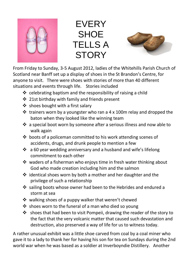

**FVFRY SHOE** TELLS A **STORY** 



From Friday to Sunday, 3-5 August 2012, ladies of the Whitehills Parish Church of Scotland near Banff set up a display of shoes in the St Brandon's Centre, for anyone to visit. There were shoes with stories of more than 40 different situations and events through life. Stories included

- $\div$  celebrating baptism and the responsibility of raising a child
- 21st birthday with family and friends present
- $\triangleq$  shoes bought with a first salary
- $\cdot$  trainers worn by a youngster who ran a 4 x 100m relay and dropped the baton when they looked like the winning team
- $\cdot$  a special boot worn by someone after a serious illness and now able to walk again
- $\cdot$  boots of a policeman committed to his work attending scenes of accidents, drugs, and drunk people to mention a few
- $\cdot$  a 60 year wedding anniversary and a husband and wife's lifelong commitment to each other
- $\cdot$  waders of a fisherman who enjovs time in fresh water thinking about God who made creation including him and the salmon
- $\cdot \cdot$  identical shoes worn by both a mother and her daughter and the privilege of such a relationship
- ❖ sailing boots whose owner had been to the Hebrides and endured a storm at sea
- $\cdot$  walking shoes of a puppy walker that weren't chewed
- $\cdot$  shoes worn to the funeral of a man who died so young
- $\cdot \cdot$  shoes that had been to visit Pompeii, drawing the reader of the story to the fact that the very volcanic matter that caused such devastation and destruction, also preserved a way of life for us to witness today.

A rather unusual exhibit was a little shoe carved from coal by a coal miner who gave it to a lady to thank her for having his son for tea on Sundays during the 2nd world war when he was based as a soldier at Inverboyndie Distillery. Another